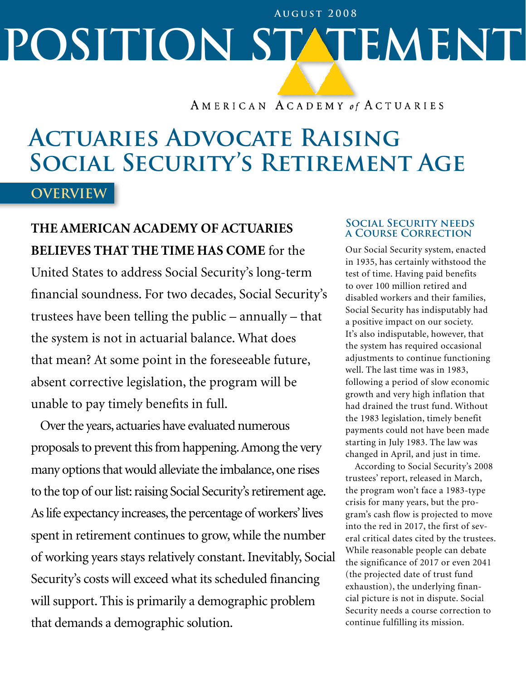# **POSITION STATEMENT August 2008**

AMERICAN ACADEMY of ACTUARIES

## **Actuaries Advocate Raising Social Security's Retirement Age**

**Overview**

### **The American Academy of Actuaries believes that the time has come** for the United States to address Social Security's long-term

financial soundness. For two decades, Social Security's trustees have been telling the public – annually – that the system is not in actuarial balance. What does that mean? At some point in the foreseeable future, absent corrective legislation, the program will be unable to pay timely benefits in full.

Over the years, actuaries have evaluated numerous proposals to prevent this from happening. Among the very many options that would alleviate the imbalance, one rises to the top of our list: raising Social Security's retirement age. As life expectancy increases, the percentage of workers' lives spent in retirement continues to grow, while the number of working years stays relatively constant. Inevitably, Social Security's costs will exceed what its scheduled financing will support. This is primarily a demographic problem that demands a demographic solution.

#### **Social Security needs a Course Correction**

Our Social Security system, enacted in 1935, has certainly withstood the test of time. Having paid benefits to over 100 million retired and disabled workers and their families, Social Security has indisputably had a positive impact on our society. It's also indisputable, however, that the system has required occasional adjustments to continue functioning well. The last time was in 1983, following a period of slow economic growth and very high inflation that had drained the trust fund. Without the 1983 legislation, timely benefit payments could not have been made starting in July 1983. The law was changed in April, and just in time.

According to Social Security's 2008 trustees' report, released in March, the program won't face a 1983-type crisis for many years, but the program's cash flow is projected to move into the red in 2017, the first of several critical dates cited by the trustees. While reasonable people can debate the significance of 2017 or even 2041 (the projected date of trust fund exhaustion), the underlying financial picture is not in dispute. Social Security needs a course correction to continue fulfilling its mission.